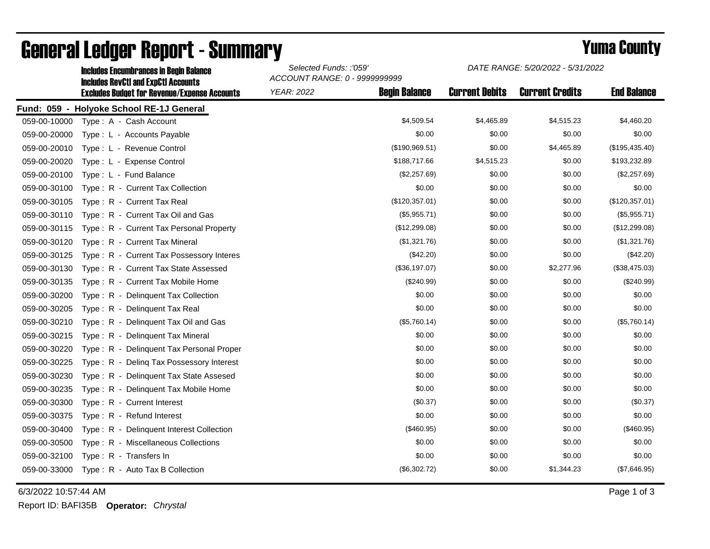|              | <b>Includes Encumbrances in Begin Balance</b><br><b>Includes RevCtI and ExpCtI Accounts</b> | Selected Funds: :'059'<br>ACCOUNT RANGE: 0 - 9999999999 |                      | DATE RANGE: 5/20/2022 - 5/31/2022 |                        |                    |
|--------------|---------------------------------------------------------------------------------------------|---------------------------------------------------------|----------------------|-----------------------------------|------------------------|--------------------|
|              | <b>Excludes Budget for Revenue/Expense Accounts</b>                                         | <b>YEAR: 2022</b>                                       | <b>Begin Balance</b> | <b>Current Debits</b>             | <b>Current Credits</b> | <b>End Balance</b> |
|              | Fund: 059 - Holyoke School RE-1J General                                                    |                                                         |                      |                                   |                        |                    |
| 059-00-10000 | Type: A - Cash Account                                                                      |                                                         | \$4,509.54           | \$4,465.89                        | \$4,515.23             | \$4,460.20         |
| 059-00-20000 | Type: L - Accounts Payable                                                                  |                                                         | \$0.00               | \$0.00                            | \$0.00                 | \$0.00             |
| 059-00-20010 | Type: L - Revenue Control                                                                   |                                                         | (\$190,969.51)       | \$0.00                            | \$4,465.89             | (\$195,435.40)     |
| 059-00-20020 | Type: L - Expense Control                                                                   |                                                         | \$188,717.66         | \$4,515.23                        | \$0.00                 | \$193,232.89       |
| 059-00-20100 | Type: L - Fund Balance                                                                      |                                                         | (\$2,257.69)         | \$0.00                            | \$0.00                 | (\$2,257.69)       |
| 059-00-30100 | Type: R - Current Tax Collection                                                            |                                                         | \$0.00               | \$0.00                            | \$0.00                 | \$0.00             |
| 059-00-30105 | Type: R - Current Tax Real                                                                  |                                                         | (\$120,357.01)       | \$0.00                            | \$0.00                 | (\$120,357.01)     |
| 059-00-30110 | Type: R - Current Tax Oil and Gas                                                           |                                                         | (\$5,955.71)         | \$0.00                            | \$0.00                 | (\$5,955.71)       |
| 059-00-30115 | Type: R - Current Tax Personal Property                                                     |                                                         | (\$12,299.08)        | \$0.00                            | \$0.00                 | (\$12,299.08)      |
| 059-00-30120 | Type: R - Current Tax Mineral                                                               |                                                         | (\$1,321.76)         | \$0.00                            | \$0.00                 | (\$1,321.76)       |
| 059-00-30125 | Type: R - Current Tax Possessory Interes                                                    |                                                         | $(\$42.20)$          | \$0.00                            | \$0.00                 | (\$42.20)          |
| 059-00-30130 | Type: R - Current Tax State Assessed                                                        |                                                         | (\$36,197.07)        | \$0.00                            | \$2,277.96             | (\$38,475.03)      |
| 059-00-30135 | Type: R - Current Tax Mobile Home                                                           |                                                         | $(\$240.99)$         | \$0.00                            | \$0.00                 | (\$240.99)         |
| 059-00-30200 | Type: R - Delinquent Tax Collection                                                         |                                                         | \$0.00               | \$0.00                            | \$0.00                 | \$0.00             |
| 059-00-30205 | Type: R - Delinquent Tax Real                                                               |                                                         | \$0.00               | \$0.00                            | \$0.00                 | \$0.00             |
| 059-00-30210 | Type: R - Delinquent Tax Oil and Gas                                                        |                                                         | (\$5,760.14)         | \$0.00                            | \$0.00                 | (\$5,760.14)       |
| 059-00-30215 | Type: R - Delinquent Tax Mineral                                                            |                                                         | \$0.00               | \$0.00                            | \$0.00                 | \$0.00             |
| 059-00-30220 | Type: R - Delinguent Tax Personal Proper                                                    |                                                         | \$0.00               | \$0.00                            | \$0.00                 | \$0.00             |
| 059-00-30225 | Type: R - Deling Tax Possessory Interest                                                    |                                                         | \$0.00               | \$0.00                            | \$0.00                 | \$0.00             |
| 059-00-30230 | Type: R - Delinguent Tax State Assesed                                                      |                                                         | \$0.00               | \$0.00                            | \$0.00                 | \$0.00             |
| 059-00-30235 | Type: R - Delinquent Tax Mobile Home                                                        |                                                         | \$0.00               | \$0.00                            | \$0.00                 | \$0.00             |
| 059-00-30300 | Type: R - Current Interest                                                                  |                                                         | (\$0.37)             | \$0.00                            | \$0.00                 | (\$0.37)           |
| 059-00-30375 | Type: R - Refund Interest                                                                   |                                                         | \$0.00               | \$0.00                            | \$0.00                 | \$0.00             |
| 059-00-30400 | Type: R - Delinquent Interest Collection                                                    |                                                         | (\$460.95)           | \$0.00                            | \$0.00                 | (\$460.95)         |
| 059-00-30500 | Type: R - Miscellaneous Collections                                                         |                                                         | \$0.00               | \$0.00                            | \$0.00                 | \$0.00             |
| 059-00-32100 | Type: R - Transfers In                                                                      |                                                         | \$0.00               | \$0.00                            | \$0.00                 | \$0.00             |
| 059-00-33000 | Type: R - Auto Tax B Collection                                                             |                                                         | (\$6,302.72)         | \$0.00                            | \$1,344.23             | (\$7,646.95)       |

## General Ledger Report - Summary **Example 2018** Yuma County

6/3/2022 10:57:44 AM Page 1 of 3

Report ID: BAFI35B **Operator:** *Chrystal*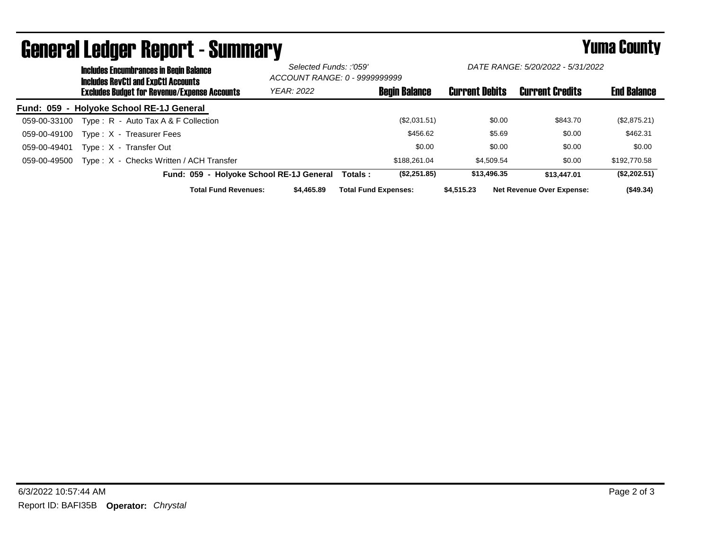|                  |                                                     | <b>Includes Encumbrances in Begin Balance</b><br><b>Includes RevCtI and ExpCtI Accounts</b> |                                          | Selected Funds: :'059'<br>ACCOUNT RANGE: 0 - 9999999999 |                             | DATE RANGE: 5/20/2022 - 5/31/2022 |                       |        |                                  |                    |
|------------------|-----------------------------------------------------|---------------------------------------------------------------------------------------------|------------------------------------------|---------------------------------------------------------|-----------------------------|-----------------------------------|-----------------------|--------|----------------------------------|--------------------|
|                  | <b>Excludes Budget for Revenue/Expense Accounts</b> |                                                                                             |                                          | <b>YEAR: 2022</b>                                       |                             | <b>Begin Balance</b>              | <b>Current Debits</b> |        | <b>Current Credits</b>           | <b>End Balance</b> |
| <b>Fund: 059</b> |                                                     | - Holyoke School RE-1J General                                                              |                                          |                                                         |                             |                                   |                       |        |                                  |                    |
| 059-00-33100     |                                                     | Type: $R -$ Auto Tax A & F Collection                                                       |                                          |                                                         |                             | (\$2,031.51)                      |                       | \$0.00 | \$843.70                         | (\$2,875.21)       |
| 059-00-49100     |                                                     | Type: X - Treasurer Fees                                                                    |                                          |                                                         |                             | \$456.62                          |                       | \$5.69 | \$0.00                           | \$462.31           |
| 059-00-49401     |                                                     | Type: X - Transfer Out                                                                      |                                          |                                                         |                             | \$0.00                            |                       | \$0.00 | \$0.00                           | \$0.00             |
| 059-00-49500     |                                                     | Type: X - Checks Written / ACH Transfer                                                     |                                          |                                                         |                             | \$188,261.04                      | \$4.509.54            |        | \$0.00                           | \$192,770.58       |
|                  |                                                     |                                                                                             | Fund: 059 - Holyoke School RE-1J General |                                                         | Totals :                    | (\$2,251.85)                      | \$13,496.35           |        | \$13,447.01                      | (\$2,202.51)       |
|                  |                                                     |                                                                                             | <b>Total Fund Revenues:</b>              | \$4,465.89                                              | <b>Total Fund Expenses:</b> |                                   | \$4,515,23            |        | <b>Net Revenue Over Expense:</b> | (\$49.34)          |

## General Ledger Report - Summary **Example 2018** Yuma County